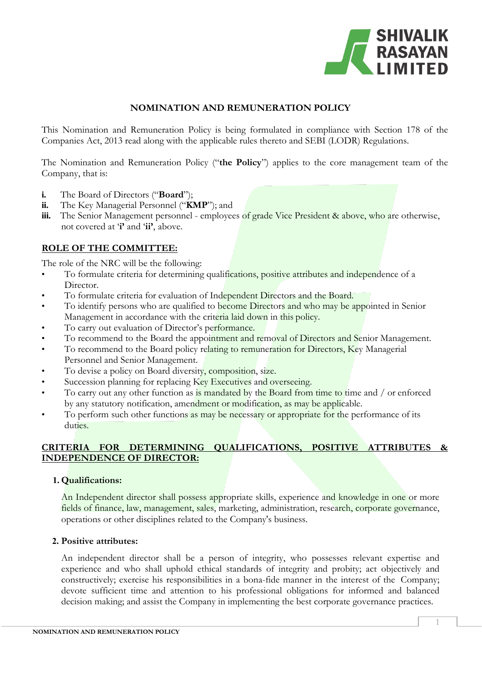

# **NOMINATION AND REMUNERATION POLICY**

This Nomination and Remuneration Policy is being formulated in compliance with Section 178 of the Companies Act, 2013 read along with the applicable rules thereto and SEBI (LODR) Regulations.

The Nomination and Remuneration Policy ("**the Policy**") applies to the core management team of the Company, that is:

- **i.** The Board of Directors ("**Board**");
- **ii.** The Key Managerial Personnel ("**KMP**"); and
- **iii.** The Senior Management personnel employees of grade Vice President & above, who are otherwise, not covered at '**i'** and '**ii'**, above.

## **ROLE OF THE COMMITTEE:**

The role of the NRC will be the following:

- To formulate criteria for determining qualifications, positive attributes and independence of a Director.
- To formulate criteria for evaluation of Independent Directors and the Board.
- To identify persons who are qualified to become Directors and who may be appointed in Senior Management in accordance with the criteria laid down in this policy.
- To carry out evaluation of Director's performance.
- To recommend to the Board the appointment and removal of Directors and Senior Management.
- To recommend to the Board policy relating to remuneration for Directors, Key Managerial Personnel and Senior Management.
- To devise a policy on Board diversity, composition, size.
- Succession planning for replacing Key Executives and overseeing.
- To carry out any other function as is mandated by the Board from time to time and / or enforced by any statutory notification, amendment or modification, as may be applicable.
- To perform such other functions as may be necessary or appropriate for the performance of its duties.

# **CRITERIA FOR DETERMINING QUALIFICATIONS, POSITIVE ATTRIBUTES & INDEPENDENCE OF DIRECTOR:**

#### **1. Qualifications:**

An Independent director shall possess appropriate skills, experience and knowledge in one or more fields of finance, law, management, sales, marketing, administration, research, corporate governance, operations or other disciplines related to the Company's business.

#### **2. Positive attributes:**

An independent director shall be a person of integrity, who possesses relevant expertise and experience and who shall uphold ethical standards of integrity and probity; act objectively and constructively; exercise his responsibilities in a bona-fide manner in the interest of the Company; devote sufficient time and attention to his professional obligations for informed and balanced decision making; and assist the Company in implementing the best corporate governance practices.